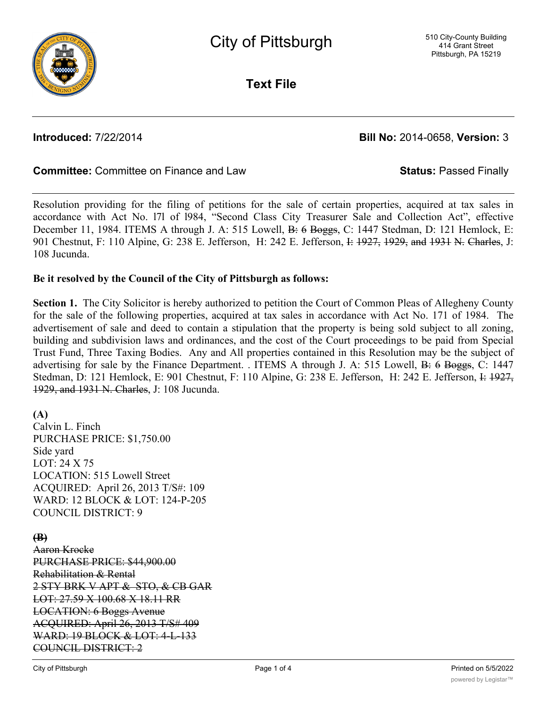

**Text File**

**Introduced:** 7/22/2014 **Bill No:** 2014-0658, **Version:** 3

## **Committee:** Committee on Finance and Law **Status:** Passed Finally

Resolution providing for the filing of petitions for the sale of certain properties, acquired at tax sales in accordance with Act No. l7l of l984, "Second Class City Treasurer Sale and Collection Act", effective December 11, 1984. ITEMS A through J. A: 515 Lowell, B: 6 Boggs, C: 1447 Stedman, D: 121 Hemlock, E: 901 Chestnut, F: 110 Alpine, G: 238 E. Jefferson, H: 242 E. Jefferson, I: 1927, 1929, and 1931 N. Charles, J: 108 Jucunda.

### **Be it resolved by the Council of the City of Pittsburgh as follows:**

**Section 1.** The City Solicitor is hereby authorized to petition the Court of Common Pleas of Allegheny County for the sale of the following properties, acquired at tax sales in accordance with Act No. 171 of 1984. The advertisement of sale and deed to contain a stipulation that the property is being sold subject to all zoning, building and subdivision laws and ordinances, and the cost of the Court proceedings to be paid from Special Trust Fund, Three Taxing Bodies. Any and All properties contained in this Resolution may be the subject of advertising for sale by the Finance Department. . ITEMS A through J. A: 515 Lowell, B: 6 Boggs, C: 1447 Stedman, D: 121 Hemlock, E: 901 Chestnut, F: 110 Alpine, G: 238 E. Jefferson, H: 242 E. Jefferson, I: 1927, 1929, and 1931 N. Charles, J: 108 Jucunda.

## **(A)**

Calvin L. Finch PURCHASE PRICE: \$1,750.00 Side yard LOT: 24 X 75 LOCATION: 515 Lowell Street ACQUIRED: April 26, 2013 T/S#: 109 WARD: 12 BLOCK & LOT: 124-P-205 COUNCIL DISTRICT: 9

## **(B)**

Aaron Krocke PURCHASE PRICE: \$44,900.00 Rehabilitation & Rental 2 STY BRK V APT & STO, & CB GAR LOT: 27.59 X 100.68 X 18.11 RR LOCATION: 6 Boggs Avenue ACQUIRED: April 26, 2013 T/S# 409 WARD: 19 BLOCK & LOT: 4-L-133 COUNCIL DISTRICT: 2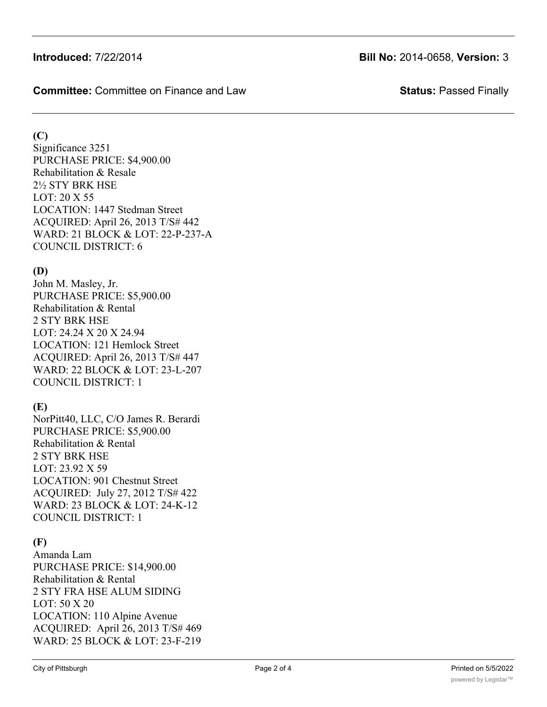**Committee:** Committee on Finance and Law **Status:** Passed Finally

## **(C)**

Significance 3251 PURCHASE PRICE: \$4,900.00 Rehabilitation & Resale 2½ STY BRK HSE LOT: 20 X 55 LOCATION: 1447 Stedman Street ACQUIRED: April 26, 2013 T/S# 442 WARD: 21 BLOCK & LOT: 22-P-237-A COUNCIL DISTRICT: 6

# **(D)**

John M. Masley, Jr. PURCHASE PRICE: \$5,900.00 Rehabilitation & Rental 2 STY BRK HSE LOT: 24.24 X 20 X 24.94 LOCATION: 121 Hemlock Street ACQUIRED: April 26, 2013 T/S# 447 WARD: 22 BLOCK & LOT: 23-L-207 COUNCIL DISTRICT: 1

## **(E)**

NorPitt40, LLC, C/O James R. Berardi PURCHASE PRICE: \$5,900.00 Rehabilitation & Rental 2 STY BRK HSE LOT: 23.92 X 59 LOCATION: 901 Chestnut Street ACQUIRED: July 27, 2012 T/S# 422 WARD: 23 BLOCK & LOT: 24-K-12 COUNCIL DISTRICT: 1

# **(F)**

Amanda Lam PURCHASE PRICE: \$14,900.00 Rehabilitation & Rental 2 STY FRA HSE ALUM SIDING LOT: 50 X 20 LOCATION: 110 Alpine Avenue ACQUIRED: April 26, 2013 T/S# 469 WARD: 25 BLOCK & LOT: 23-F-219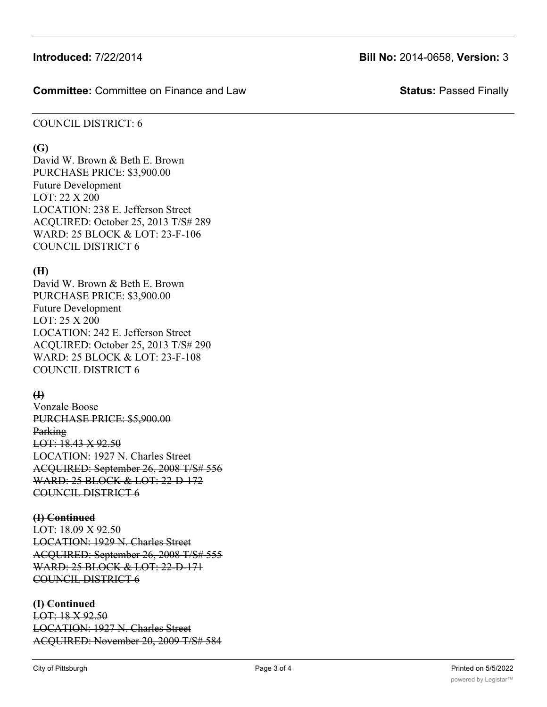## **Introduced:** 7/22/2014 **Bill No:** 2014-0658, **Version:** 3

#### **Committee:** Committee on Finance and Law **Status:** Passed Finally

#### COUNCIL DISTRICT: 6

#### **(G)**

David W. Brown & Beth E. Brown PURCHASE PRICE: \$3,900.00 Future Development LOT: 22 X 200 LOCATION: 238 E. Jefferson Street ACQUIRED: October 25, 2013 T/S# 289 WARD: 25 BLOCK & LOT: 23-F-106 COUNCIL DISTRICT 6

## **(H)**

David W. Brown & Beth E. Brown PURCHASE PRICE: \$3,900.00 Future Development LOT: 25 X 200 LOCATION: 242 E. Jefferson Street ACQUIRED: October 25, 2013 T/S# 290 WARD: 25 BLOCK & LOT: 23-F-108 COUNCIL DISTRICT 6

## **(I)**

Vonzale Boose PURCHASE PRICE: \$5,900.00 Parking LOT: 18.43 X 92.50 LOCATION: 1927 N. Charles Street ACQUIRED: September 26, 2008 T/S# 556 WARD: 25 BLOCK & LOT: 22-D-172 COUNCIL DISTRICT 6

#### **(I) Continued**

LOT: 18.09 X 92.50 LOCATION: 1929 N. Charles Street ACQUIRED: September 26, 2008 T/S# 555 WARD: 25 BLOCK & LOT: 22-D-171 COUNCIL DISTRICT 6

#### **(I) Continued**

LOT: 18 X 92.50 LOCATION: 1927 N. Charles Street ACQUIRED: November 20, 2009 T/S# 584